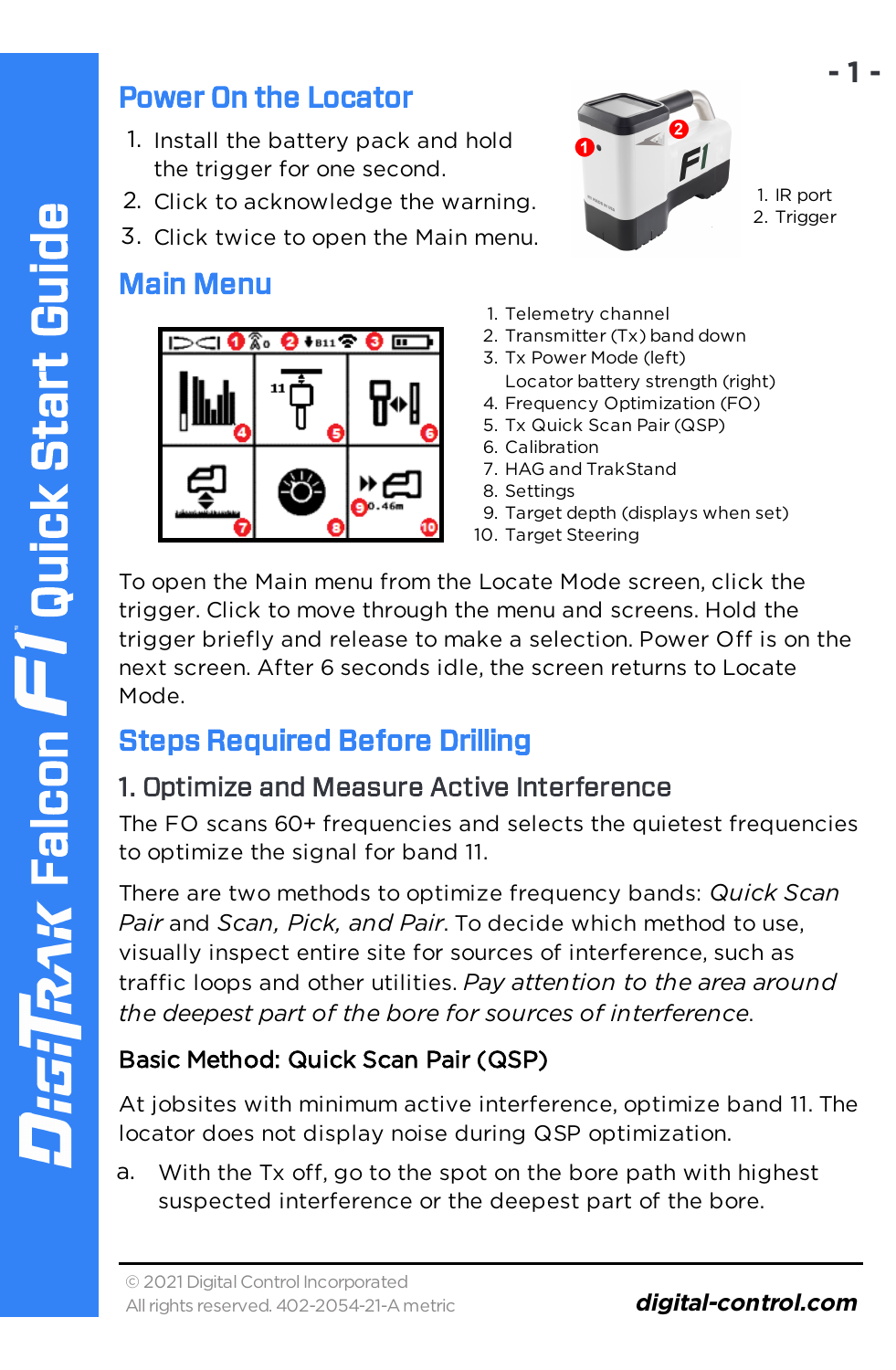#### Power On the Locator

- 1. Install the battery pack and hold the trigger for one second.
- 2. Click to acknowledge the warning.
- 3. Click twice to open the Main menu.

### Main Menu





1. IR port 2. Trigger

**- 1 -**

- 1. Telemetry channel
- 2. Transmitter (Tx) band down
- 3. Tx Power Mode (left) Locator battery strength (right)
- 4. Frequency Optimization (FO)
- 5. Tx Quick Scan Pair (QSP)
- 6. Calibration
- 7. HAG and TrakStand
- 8. Settings
- 9. Target depth (displays when set)
- 10. Target Steering

To open the Main menu from the Locate Mode screen, click the trigger. Click to move through the menu and screens. Hold the trigger briefly and release to make a selection. Power Off is on the next screen. After 6 seconds idle, the screen returns to Locate Mode.

# Steps Required Before Drilling

#### 1. Optimize and Measure Active Interference

The FO scans 60+ frequencies and selects the quietest frequencies to optimize the signal for band 11.

There are two methods to optimize frequency bands: *Quick Scan Pair* and *Scan, Pick, and Pair*. To decide which method to use, visually inspect entire site for sources of interference, such as traffic loops and other utilities. *Pay attention to the area around the deepest part of the bore for sources of interference*.

#### Basic Method: Quick Scan Pair (QSP)

At jobsites with minimum active interference, optimize band 11. The locator does not display noise during QSP optimization.

a. With the Tx off, go to the spot on the bore path with highest suspected interference or the deepest part of the bore.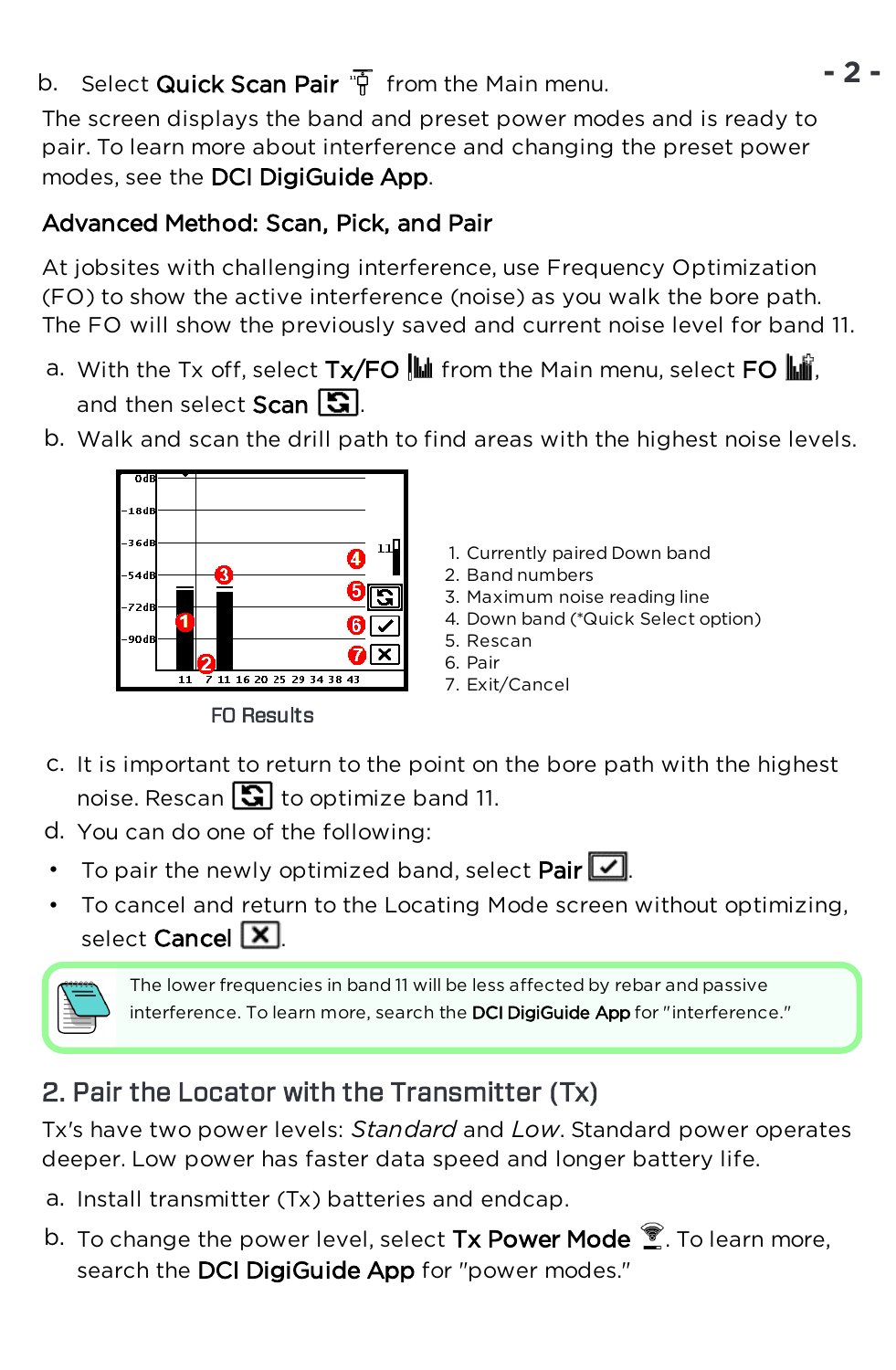### b. Select **Quick Scan Pair**  $\overline{\mathfrak{p}}$  from the Main menu.

The screen displays the band and preset power modes and is ready to pair. To learn more about interference and changing the preset power modes, see the DCI DigiGuide App.

#### Advanced Method: Scan, Pick, and Pair

At jobsites with challenging interference, use Frequency Optimization (FO) to show the active interference (noise) as you walk the bore path. The FO will show the previously saved and current noise level for band 11.

a. With the Tx off, select  $Tx/FO$   $\frac{du}{dx}$  from the Main menu, select FO  $\frac{du}{dx}$ . and then select  $Scan$   $\boxed{3}$ .





FO Results

- 1. Currently paired Down band
- 2. Band numbers
- 3. Maximum noise reading line
- 4. Down band (\*Quick Select option)
- 5. Rescan
- 6. Pair
- 7. Exit/Cancel
- c. It is important to return to the point on the bore path with the highest noise. Rescan  $\boxed{3}$  to optimize band 11.
- d. You can do one of the following:
- To pair the newly optimized band, select Pair  $\boxed{\triangledown}$ .
- To cancel and return to the Locating Mode screen without optimizing, select Cancel  $\boxed{\mathsf{X}}$ .



The lower frequencies in band 11 will be less affected by rebar and passive interference. To learn more, search the DCI DigiGuide App for "interference."

# <span id="page-1-0"></span>2. Pair the Locator with the Transmitter (Tx)

Tx's have two power levels: *Standard* and *Low*. Standard power operates deeper. Low power has faster data speed and longer battery life.

- a. Install transmitter (Tx) batteries and endcap.
- b. To change the power level, select Tx Power Mode  $\widehat{\mathbb{Z}}$ . To learn more, search the DCI DigiGuide App for "power modes."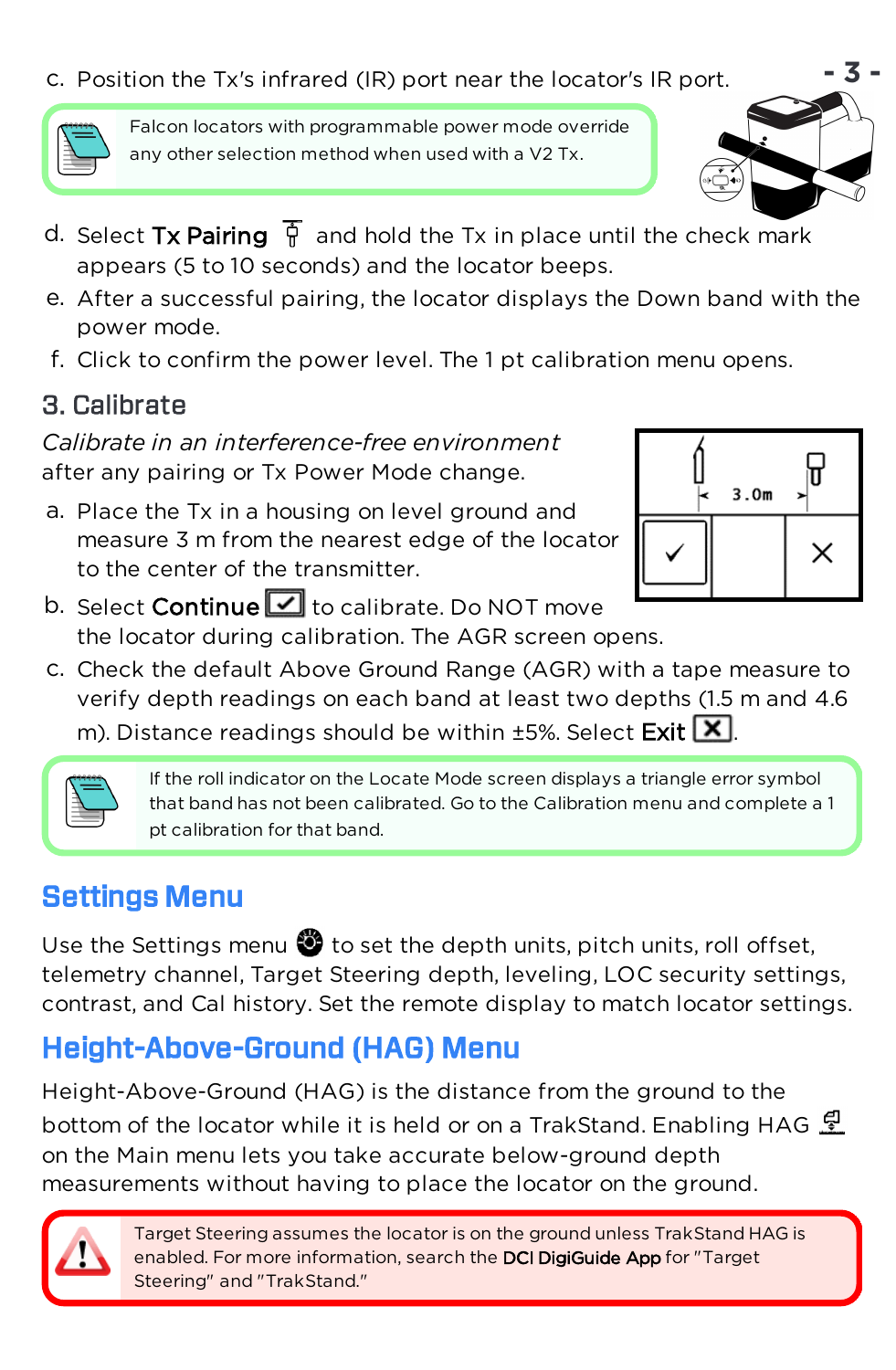c. Position the Tx's infrared (IR) port near the locator's IR port.



Falcon locators with programmable power mode override any other selection method when used with a V2 Tx.

- d. Select Tx Pairing  $\overline{\mathbb{F}}$  and hold the Tx in place until the check mark appears (5 to 10 seconds) and the locator beeps.
- e. After a successful pairing, the locator displays the Down band with the power mode.
- f. Click to confirm the power level. The 1 pt calibration menu opens.

# 3. Calibrate

*Calibrate in an interference-free environment* after any pairing or Tx Power Mode change.

a. Place the Tx in a housing on level ground and measure 3 m from the nearest edge of the locator to the center of the transmitter.



- b. Select **Continue**  $\Box$  to calibrate. Do NOT move the locator during calibration. The AGR screen opens.
- c. Check the default Above Ground Range (AGR) with a tape measure to verify depth readings on each band at least two depths (1.5 m and 4.6 m). Distance readings should be within  $\pm$ 5%. Select Exit  $\boxed{\mathbf{X}}$ .



If the roll indicator on the Locate Mode screen displays a triangle error symbol that band has not been calibrated. Go to the Calibration menu and complete a 1 pt calibration for that band.

# Settings Menu

Use the Settings menu  $\bigcirc$  to set the depth units, pitch units, roll offset, telemetry channel, Target Steering depth, leveling, LOC security settings, contrast, and Cal history. Set the remote display to match locator settings.

# Height-Above-Ground (HAG) Menu

Height-Above-Ground (HAG) is the distance from the ground to the bottom of the locator while it is held or on a TrakStand. Enabling HAG  $\mathcal{L}$ on the Main menu lets you take accurate below-ground depth measurements without having to place the locator on the ground.

> Target Steering assumes the locator is on the ground unless TrakStand HAG is enabled. For more information, search the DCI DigiGuide App for "Target Steering" and "TrakStand."

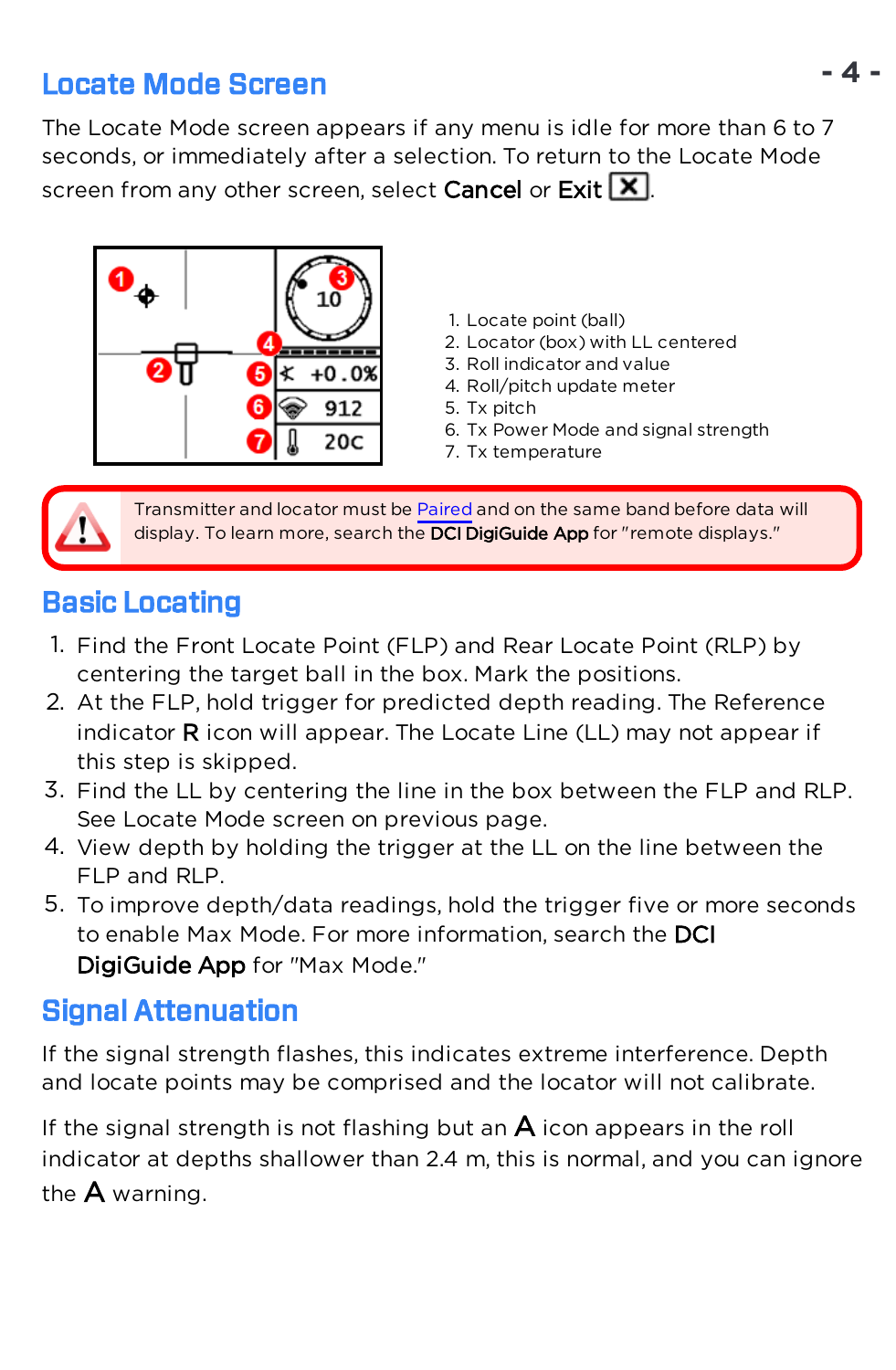### Locate Mode Screen

The Locate Mode screen appears if any menu is idle for more than 6 to 7 seconds, or immediately after a selection. To return to the Locate Mode screen from any other screen, select Cancel or Exit  $\boxed{\mathbf{X}}$ .



- 1. Locate point (ball)
- 2. Locator (box) with LL centered
- 3. Roll indicator and value
- 4. Roll/pitch update meter
- 5. Tx pitch
- 6. Tx Power Mode and signal strength
- 7. Tx temperature

Transmitter and locator must be [Paired](#page-1-0) and on the same band before data will display. To learn more, search the DCI DigiGuide App for "remote displays."

#### Basic Locating

- 1. Find the Front Locate Point (FLP) and Rear Locate Point (RLP) by centering the target ball in the box. Mark the positions.
- 2. At the FLP, hold trigger for predicted depth reading. The Reference indicator  $R$  icon will appear. The Locate Line (LL) may not appear if this step is skipped.
- 3. Find the LL by centering the line in the box between the FLP and RLP. See Locate Mode screen on previous page.
- 4. View depth by holding the trigger at the LL on the line between the FLP and RLP.
- 5. To improve depth/data readings, hold the trigger five or more seconds to enable Max Mode. For more information, search the DCI DigiGuide App for "Max Mode."

#### Signal Attenuation

If the signal strength flashes, this indicates extreme interference. Depth and locate points may be comprised and the locator will not calibrate.

If the signal strength is not flashing but an  $\mathsf A$  icon appears in the roll indicator at depths shallower than 2.4 m, this is normal, and you can ignore the A warning.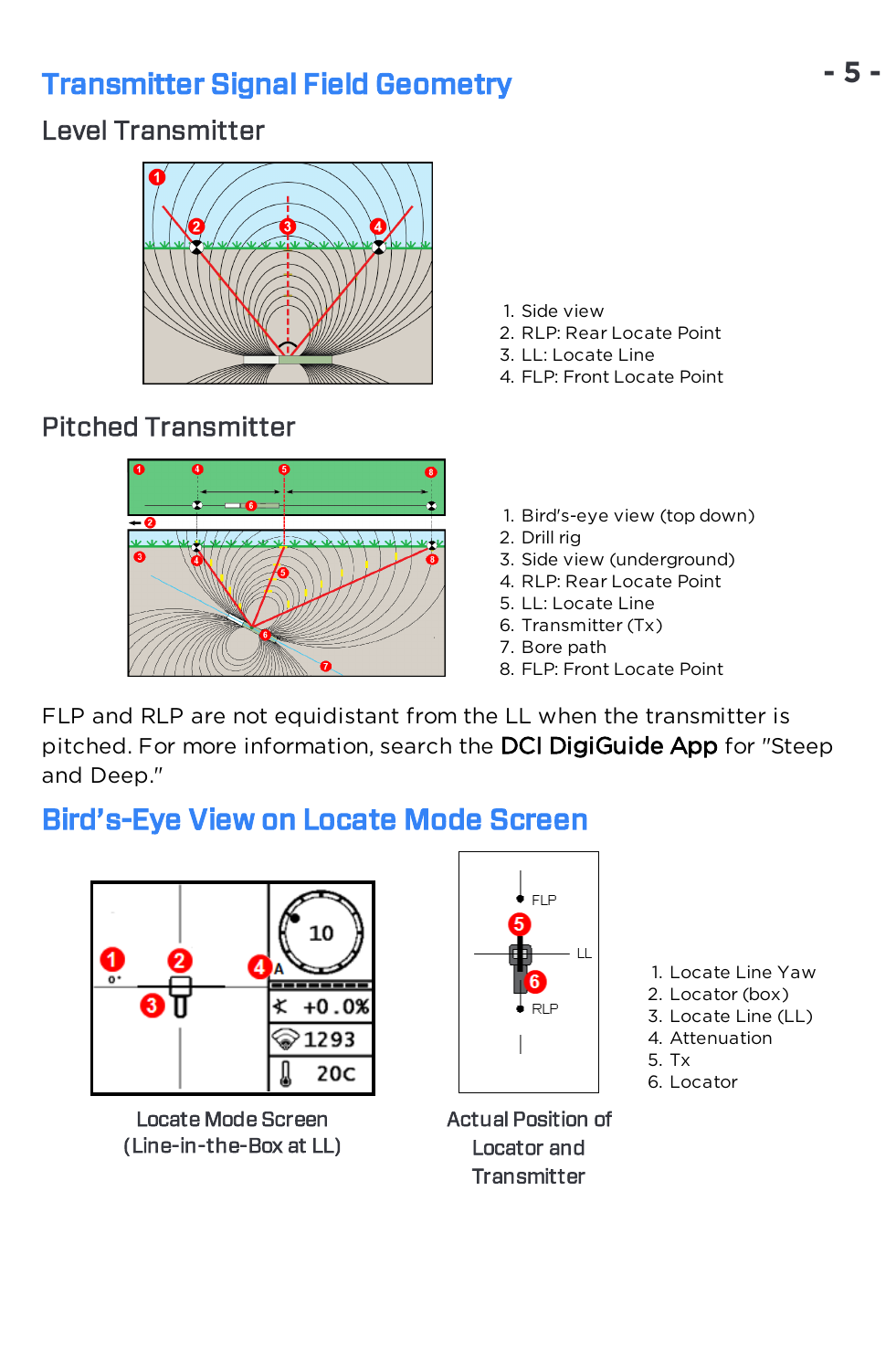# Transmitter Signal Field Geometry

#### Level Transmitter



# Pitched Transmitter



- 1. Side view
- 2. RLP: Rear Locate Point
- 3. LL: Locate Line
- 4. FLP: Front Locate Point
- 1. Bird's-eye view (top down)
- 2. Drill rig
- 3. Side view (underground)
- 4. RLP: Rear Locate Point
- 5. LL: Locate Line
- 6. Transmitter (Tx)
- 7. Bore path
- 8. FLP: Front Locate Point

FLP and RLP are not equidistant from the LL when the transmitter is pitched. For more information, search the DCI DigiGuide App for "Steep and Deep."

# Bird's-Eye View on Locate Mode Screen



Locate Mode Screen (Line-in-the-Box at LL)



- Actual Position of Locator and **Transmitter**
- 1. Locate Line Yaw
- 2. Locator (box)
- 3. Locate Line (LL)
- 4. Attenuation
- 5. Tx
- 6. Locator